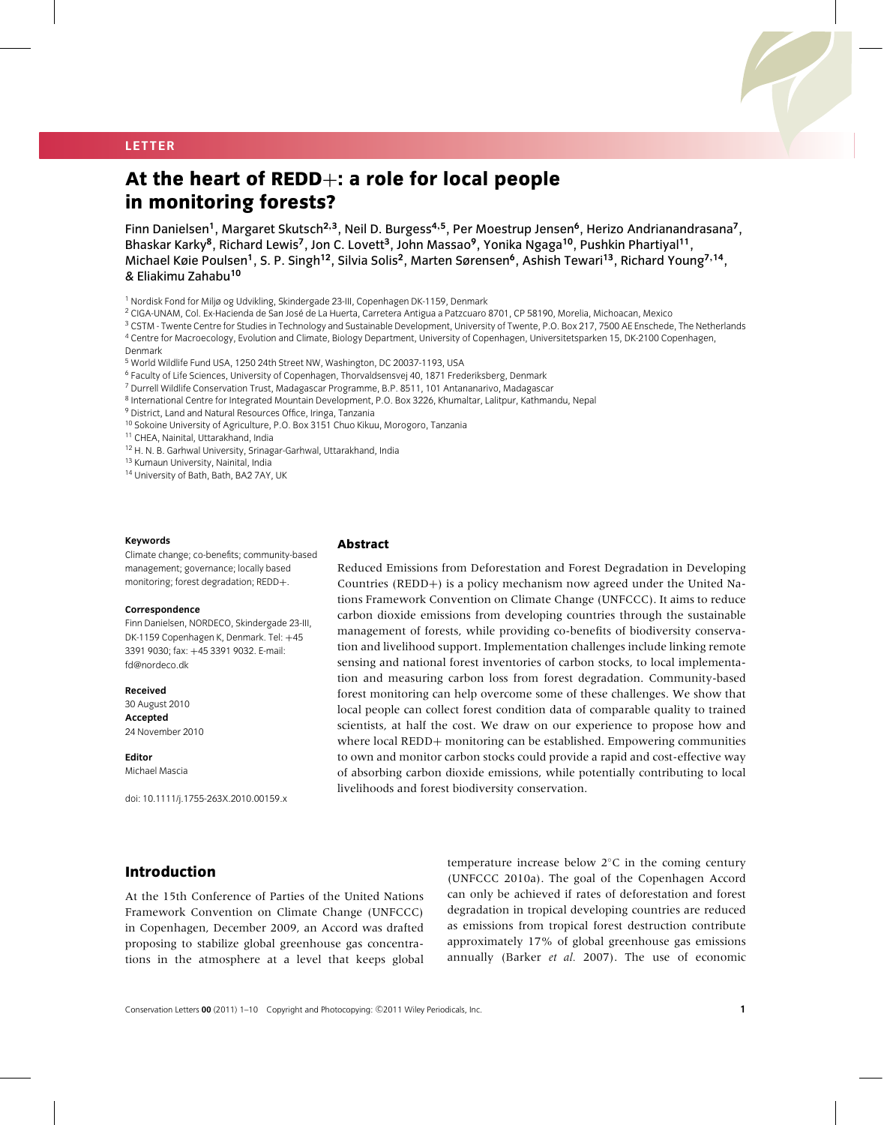## **LETTER**

# **At the heart of REDD**+**: a role for local people in monitoring forests?**

Finn Danielsen**<sup>1</sup>**, Margaret Skutsch**<sup>2</sup>**,**<sup>3</sup>**, Neil D. Burgess**<sup>4</sup>**,**<sup>5</sup>**, Per Moestrup Jensen**<sup>6</sup>**, Herizo Andrianandrasana**<sup>7</sup>**, Bhaskar Karky**<sup>8</sup>**, Richard Lewis**<sup>7</sup>**, Jon C. Lovett**<sup>3</sup>**, John Massao**<sup>9</sup>**, Yonika Ngaga**<sup>10</sup>**, Pushkin Phartiyal**<sup>11</sup>**, Michael Køie Poulsen**<sup>1</sup>**, S. P. Singh**<sup>12</sup>**, Silvia Solis**<sup>2</sup>**, Marten Sørensen**<sup>6</sup>**, Ashish Tewari**<sup>13</sup>**, Richard Young**<sup>7</sup>**,**<sup>14</sup>**, & Eliakimu Zahabu**<sup>10</sup>**

- <sup>3</sup> CSTM Twente Centre for Studies in Technology and Sustainable Development, University of Twente, P.O. Box 217, 7500 AE Enschede, The Netherlands
- <sup>4</sup> Centre for Macroecology, Evolution and Climate, Biology Department, University of Copenhagen, Universitetsparken 15, DK-2100 Copenhagen,
- Denmark

<sup>5</sup> World Wildlife Fund USA, 1250 24th Street NW, Washington, DC 20037-1193, USA

- <sup>6</sup> Faculty of Life Sciences, University of Copenhagen, Thorvaldsensvej 40, 1871 Frederiksberg, Denmark
- <sup>7</sup> Durrell Wildlife Conservation Trust, Madagascar Programme, B.P. 8511, 101 Antananarivo, Madagascar
- 8 International Centre for Integrated Mountain Development, P.O. Box 3226, Khumaltar, Lalitpur, Kathmandu, Nepal
- <sup>9</sup> District, Land and Natural Resources Office, Iringa, Tanzania
- <sup>10</sup> Sokoine University of Agriculture, P.O. Box 3151 Chuo Kikuu, Morogoro, Tanzania

<sup>11</sup> CHEA, Nainital, Uttarakhand, India

<sup>12</sup> H. N. B. Garhwal University, Srinagar-Garhwal, Uttarakhand, India

<sup>13</sup> Kumaun University, Nainital, India

<sup>14</sup> University of Bath, Bath, BA2 7AY, UK

#### **Keywords**

Climate change; co-benefits; community-based management; governance; locally based monitoring; forest degradation; REDD+.

#### **Correspondence**

Finn Danielsen, NORDECO, Skindergade 23-III, DK-1159 Copenhagen K, Denmark. Tel: +45 3391 9030; fax: +45 3391 9032. E-mail: fd@nordeco.dk

#### **Received**

30 August 2010 **Accepted** 24 November 2010

**Editor** Michael Mascia

doi: 10.1111/j.1755-263X.2010.00159.x

## **Abstract**

Reduced Emissions from Deforestation and Forest Degradation in Developing Countries (REDD+) is a policy mechanism now agreed under the United Nations Framework Convention on Climate Change (UNFCCC). It aims to reduce carbon dioxide emissions from developing countries through the sustainable management of forests, while providing co-benefits of biodiversity conservation and livelihood support. Implementation challenges include linking remote sensing and national forest inventories of carbon stocks, to local implementation and measuring carbon loss from forest degradation. Community-based forest monitoring can help overcome some of these challenges. We show that local people can collect forest condition data of comparable quality to trained scientists, at half the cost. We draw on our experience to propose how and where local REDD+ monitoring can be established. Empowering communities to own and monitor carbon stocks could provide a rapid and cost-effective way of absorbing carbon dioxide emissions, while potentially contributing to local livelihoods and forest biodiversity conservation.

# **Introduction**

At the 15th Conference of Parties of the United Nations Framework Convention on Climate Change (UNFCCC) in Copenhagen, December 2009, an Accord was drafted proposing to stabilize global greenhouse gas concentrations in the atmosphere at a level that keeps global temperature increase below 2◦C in the coming century (UNFCCC 2010a). The goal of the Copenhagen Accord can only be achieved if rates of deforestation and forest degradation in tropical developing countries are reduced as emissions from tropical forest destruction contribute approximately 17% of global greenhouse gas emissions annually (Barker *et al.* 2007). The use of economic

<sup>&</sup>lt;sup>1</sup> Nordisk Fond for Miljø og Udvikling, Skindergade 23-III, Copenhagen DK-1159, Denmark

<sup>&</sup>lt;sup>2</sup> CIGA-UNAM, Col. Ex-Hacienda de San José de La Huerta, Carretera Antigua a Patzcuaro 8701, CP 58190, Morelia, Michoacan, Mexico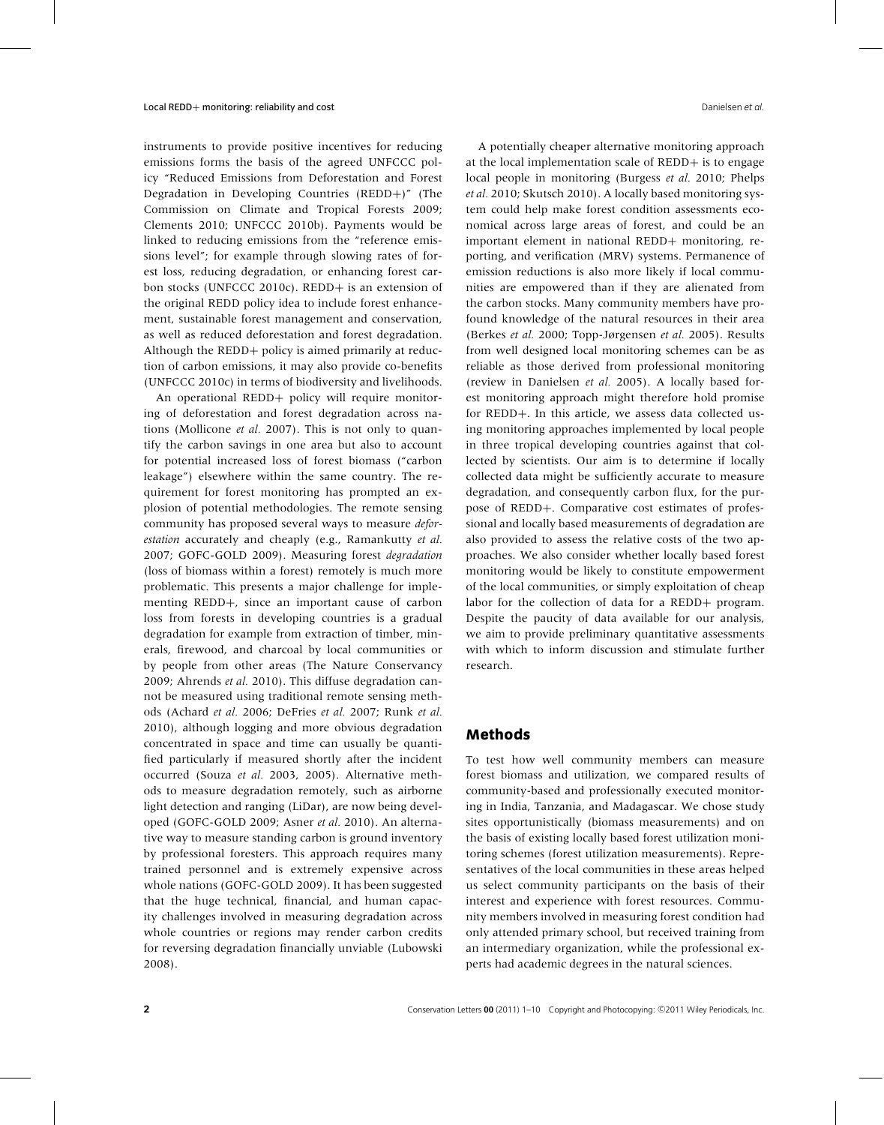instruments to provide positive incentives for reducing emissions forms the basis of the agreed UNFCCC policy "Reduced Emissions from Deforestation and Forest Degradation in Developing Countries (REDD+)" (The Commission on Climate and Tropical Forests 2009; Clements 2010; UNFCCC 2010b). Payments would be linked to reducing emissions from the "reference emissions level"; for example through slowing rates of forest loss, reducing degradation, or enhancing forest carbon stocks (UNFCCC 2010c). REDD+ is an extension of the original REDD policy idea to include forest enhancement, sustainable forest management and conservation, as well as reduced deforestation and forest degradation. Although the REDD+ policy is aimed primarily at reduction of carbon emissions, it may also provide co-benefits (UNFCCC 2010c) in terms of biodiversity and livelihoods.

An operational REDD+ policy will require monitoring of deforestation and forest degradation across nations (Mollicone *et al.* 2007). This is not only to quantify the carbon savings in one area but also to account for potential increased loss of forest biomass ("carbon leakage") elsewhere within the same country. The requirement for forest monitoring has prompted an explosion of potential methodologies. The remote sensing community has proposed several ways to measure *deforestation* accurately and cheaply (e.g., Ramankutty *et al.* 2007; GOFC-GOLD 2009). Measuring forest *degradation* (loss of biomass within a forest) remotely is much more problematic. This presents a major challenge for implementing REDD+, since an important cause of carbon loss from forests in developing countries is a gradual degradation for example from extraction of timber, minerals, firewood, and charcoal by local communities or by people from other areas (The Nature Conservancy 2009; Ahrends *et al.* 2010). This diffuse degradation cannot be measured using traditional remote sensing methods (Achard *et al.* 2006; DeFries *et al.* 2007; Runk *et al.* 2010), although logging and more obvious degradation concentrated in space and time can usually be quantified particularly if measured shortly after the incident occurred (Souza *et al.* 2003, 2005). Alternative methods to measure degradation remotely, such as airborne light detection and ranging (LiDar), are now being developed (GOFC-GOLD 2009; Asner *et al.* 2010). An alternative way to measure standing carbon is ground inventory by professional foresters. This approach requires many trained personnel and is extremely expensive across whole nations (GOFC-GOLD 2009). It has been suggested that the huge technical, financial, and human capacity challenges involved in measuring degradation across whole countries or regions may render carbon credits for reversing degradation financially unviable (Lubowski 2008).

A potentially cheaper alternative monitoring approach at the local implementation scale of REDD+ is to engage local people in monitoring (Burgess *et al.* 2010; Phelps *et al.* 2010; Skutsch 2010). A locally based monitoring system could help make forest condition assessments economical across large areas of forest, and could be an important element in national REDD+ monitoring, reporting, and verification (MRV) systems. Permanence of emission reductions is also more likely if local communities are empowered than if they are alienated from the carbon stocks. Many community members have profound knowledge of the natural resources in their area (Berkes *et al.* 2000; Topp-Jørgensen *et al.* 2005). Results from well designed local monitoring schemes can be as reliable as those derived from professional monitoring (review in Danielsen *et al.* 2005). A locally based forest monitoring approach might therefore hold promise for REDD+. In this article, we assess data collected using monitoring approaches implemented by local people in three tropical developing countries against that collected by scientists. Our aim is to determine if locally collected data might be sufficiently accurate to measure degradation, and consequently carbon flux, for the purpose of REDD+. Comparative cost estimates of professional and locally based measurements of degradation are also provided to assess the relative costs of the two approaches. We also consider whether locally based forest monitoring would be likely to constitute empowerment of the local communities, or simply exploitation of cheap labor for the collection of data for a REDD+ program. Despite the paucity of data available for our analysis, we aim to provide preliminary quantitative assessments with which to inform discussion and stimulate further research.

## **Methods**

To test how well community members can measure forest biomass and utilization, we compared results of community-based and professionally executed monitoring in India, Tanzania, and Madagascar. We chose study sites opportunistically (biomass measurements) and on the basis of existing locally based forest utilization monitoring schemes (forest utilization measurements). Representatives of the local communities in these areas helped us select community participants on the basis of their interest and experience with forest resources. Community members involved in measuring forest condition had only attended primary school, but received training from an intermediary organization, while the professional experts had academic degrees in the natural sciences.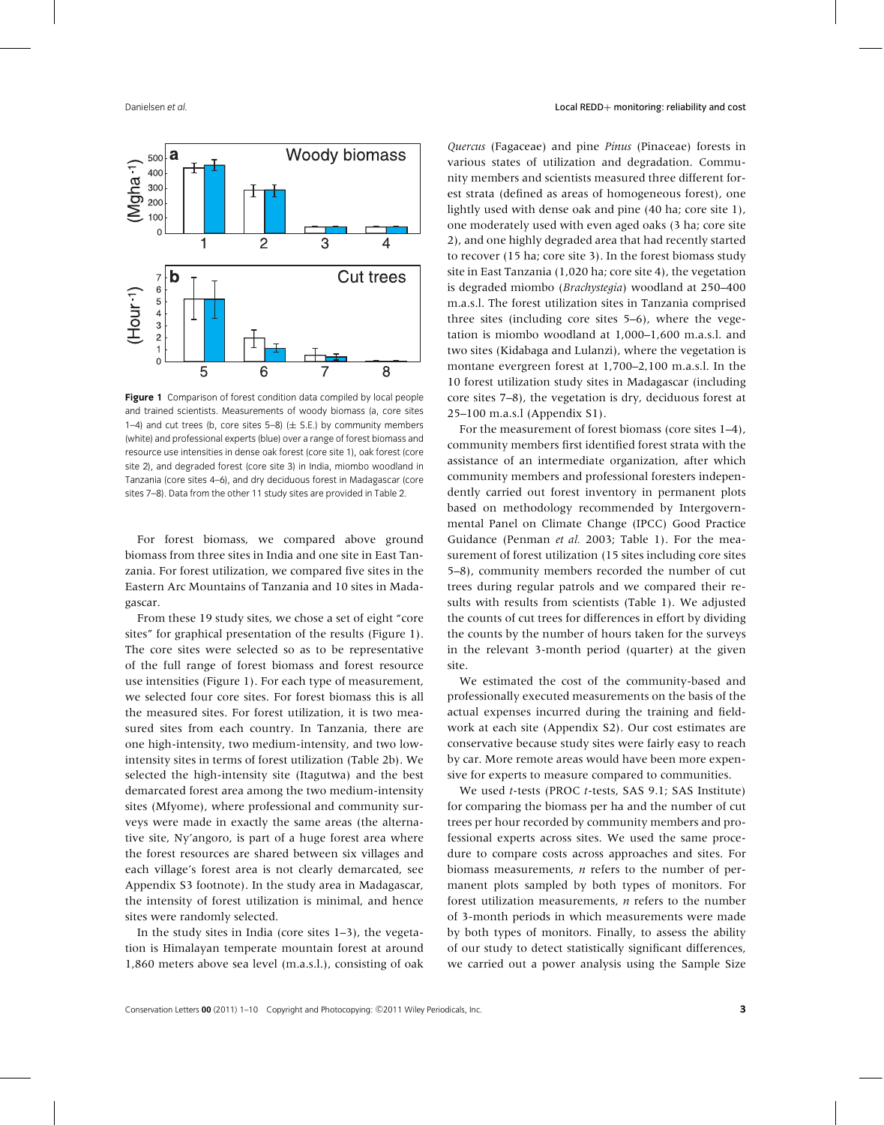

**Figure 1** Comparison of forest condition data compiled by local people and trained scientists. Measurements of woody biomass (a, core sites 1–4) and cut trees (b, core sites 5–8) ( $\pm$  S.E.) by community members (white) and professional experts (blue) over a range of forest biomass and resource use intensities in dense oak forest (core site 1), oak forest (core site 2), and degraded forest (core site 3) in India, miombo woodland in Tanzania (core sites 4–6), and dry deciduous forest in Madagascar (core sites 7–8). Data from the other 11 study sites are provided in Table 2.

For forest biomass, we compared above ground biomass from three sites in India and one site in East Tanzania. For forest utilization, we compared five sites in the Eastern Arc Mountains of Tanzania and 10 sites in Madagascar.

From these 19 study sites, we chose a set of eight "core sites" for graphical presentation of the results (Figure 1). The core sites were selected so as to be representative of the full range of forest biomass and forest resource use intensities (Figure 1). For each type of measurement, we selected four core sites. For forest biomass this is all the measured sites. For forest utilization, it is two measured sites from each country. In Tanzania, there are one high-intensity, two medium-intensity, and two lowintensity sites in terms of forest utilization (Table 2b). We selected the high-intensity site (Itagutwa) and the best demarcated forest area among the two medium-intensity sites (Mfyome), where professional and community surveys were made in exactly the same areas (the alternative site, Ny'angoro, is part of a huge forest area where the forest resources are shared between six villages and each village's forest area is not clearly demarcated, see Appendix S3 footnote). In the study area in Madagascar, the intensity of forest utilization is minimal, and hence sites were randomly selected.

In the study sites in India (core sites 1–3), the vegetation is Himalayan temperate mountain forest at around 1,860 meters above sea level (m.a.s.l.), consisting of oak *Quercus* (Fagaceae) and pine *Pinus* (Pinaceae) forests in various states of utilization and degradation. Community members and scientists measured three different forest strata (defined as areas of homogeneous forest), one lightly used with dense oak and pine (40 ha; core site 1), one moderately used with even aged oaks (3 ha; core site 2), and one highly degraded area that had recently started to recover (15 ha; core site 3). In the forest biomass study site in East Tanzania (1,020 ha; core site 4), the vegetation is degraded miombo (*Brachystegia*) woodland at 250–400 m.a.s.l. The forest utilization sites in Tanzania comprised three sites (including core sites 5–6), where the vegetation is miombo woodland at 1,000–1,600 m.a.s.l. and two sites (Kidabaga and Lulanzi), where the vegetation is montane evergreen forest at 1,700–2,100 m.a.s.l. In the 10 forest utilization study sites in Madagascar (including core sites 7–8), the vegetation is dry, deciduous forest at 25–100 m.a.s.l (Appendix S1).

For the measurement of forest biomass (core sites 1–4), community members first identified forest strata with the assistance of an intermediate organization, after which community members and professional foresters independently carried out forest inventory in permanent plots based on methodology recommended by Intergovernmental Panel on Climate Change (IPCC) Good Practice Guidance (Penman *et al.* 2003; Table 1). For the measurement of forest utilization (15 sites including core sites 5–8), community members recorded the number of cut trees during regular patrols and we compared their results with results from scientists (Table 1). We adjusted the counts of cut trees for differences in effort by dividing the counts by the number of hours taken for the surveys in the relevant 3-month period (quarter) at the given site.

We estimated the cost of the community-based and professionally executed measurements on the basis of the actual expenses incurred during the training and fieldwork at each site (Appendix S2). Our cost estimates are conservative because study sites were fairly easy to reach by car. More remote areas would have been more expensive for experts to measure compared to communities.

We used *t*-tests (PROC *t*-tests, SAS 9.1; SAS Institute) for comparing the biomass per ha and the number of cut trees per hour recorded by community members and professional experts across sites. We used the same procedure to compare costs across approaches and sites. For biomass measurements, *n* refers to the number of permanent plots sampled by both types of monitors. For forest utilization measurements, *n* refers to the number of 3-month periods in which measurements were made by both types of monitors. Finally, to assess the ability of our study to detect statistically significant differences, we carried out a power analysis using the Sample Size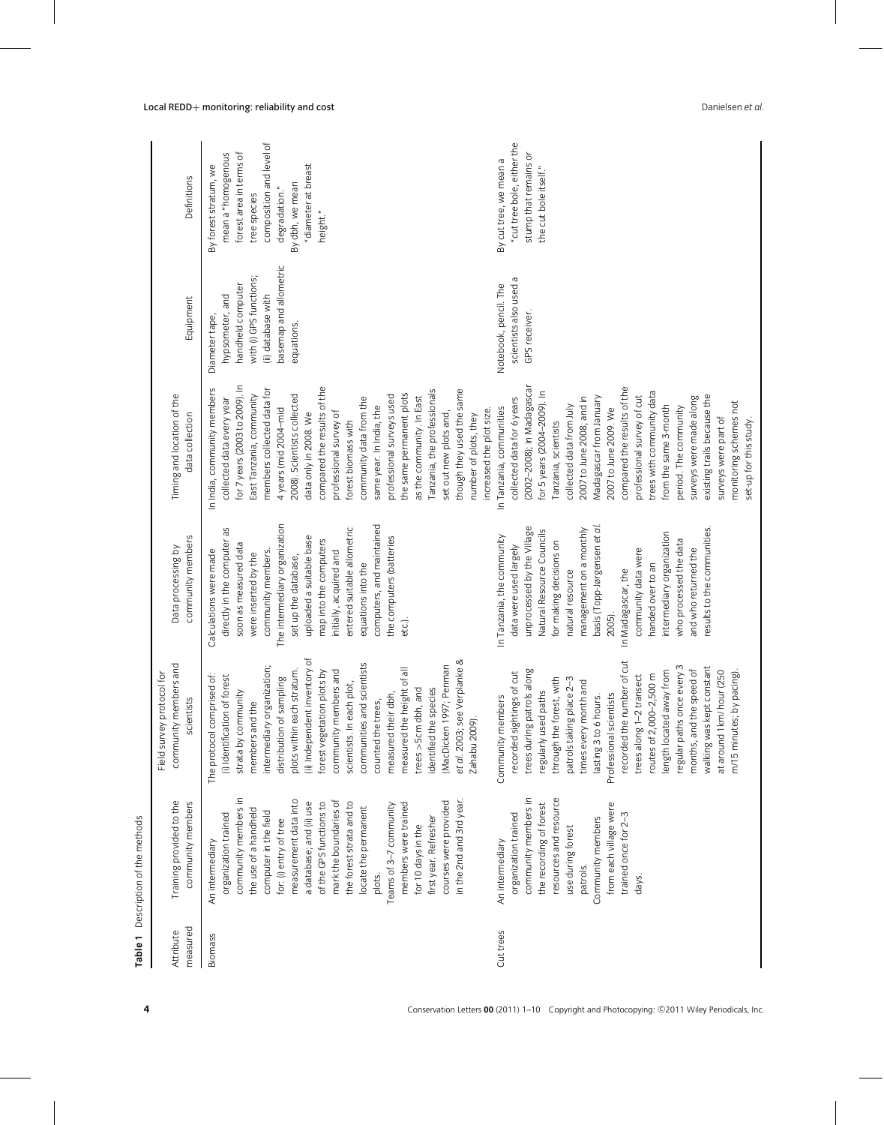| measured<br>Attribute<br><b>Biomass</b> | Training provided to the<br>community members                                                                                                                                                                                                                                                                                                                                                                                                                            | members and<br>protocol for<br>scientists<br>Field survey<br>community                                                                                                                                                                                                                                                                                                                                                                                                                                                                                     | community members<br>Data processing by                                                                                                                                                                                                                                                                                                                                                                            | Timing and location of the<br>data collection                                                                                                                                                                                                                                                                                                                                                                                                                                                                                                                                     | Equipment                                                                                                                                       | Definitions                                                                                                                                                                               |
|-----------------------------------------|--------------------------------------------------------------------------------------------------------------------------------------------------------------------------------------------------------------------------------------------------------------------------------------------------------------------------------------------------------------------------------------------------------------------------------------------------------------------------|------------------------------------------------------------------------------------------------------------------------------------------------------------------------------------------------------------------------------------------------------------------------------------------------------------------------------------------------------------------------------------------------------------------------------------------------------------------------------------------------------------------------------------------------------------|--------------------------------------------------------------------------------------------------------------------------------------------------------------------------------------------------------------------------------------------------------------------------------------------------------------------------------------------------------------------------------------------------------------------|-----------------------------------------------------------------------------------------------------------------------------------------------------------------------------------------------------------------------------------------------------------------------------------------------------------------------------------------------------------------------------------------------------------------------------------------------------------------------------------------------------------------------------------------------------------------------------------|-------------------------------------------------------------------------------------------------------------------------------------------------|-------------------------------------------------------------------------------------------------------------------------------------------------------------------------------------------|
|                                         | community members in<br>measurement data into<br>mark the boundaries of<br>in the 2nd and 3rd year<br>courses were provided<br>the forest strata and to<br>a database; and (ii) use<br>of the GPS functions to<br>members were trained<br>Teams of 3-7 community<br>locate the permanent<br>the use of a handheld<br>computer in the field<br>organization trained<br>first year. Refresher<br>for: (i) entry of tree<br>for 10 days in the<br>An intermediary<br>plots. | (ii) Independent inventory of<br>et al. 2003; see Verplanke &<br>communities and scientists<br>(MacDicken 1997; Penman<br>intermediary organization;<br>measured the height of all<br>plots within each stratum.<br>community members and<br>forest vegetation plots by<br>The protocol comprised of:<br>(i) Identification of forest<br>distribution of sampling<br>scientists. In each plot,<br>identified the species<br>$trees > 5cm$ dbh, and<br>strata by community<br>measured their dbh,<br>members and the<br>counted the trees,<br>Zahabu 2009). | The intermediary organization<br>computers, and maintained<br>entered suitable allometric<br>directly in the computer as<br>uploaded a suitable base<br>the computers (batteries<br>map into the computers<br>soon as measured data<br>Calculations were made<br>community members.<br>initially, acquired and<br>were inserted by the<br>set up the database,<br>equations into the<br>etc.).                     | for 7 years (2003 to 2009). In<br>compared the results of the<br>members collected data for<br>In India, community members<br>though they used the same<br>Tanzania, the professionals<br>the same permanent plots<br>East Tanzania, community<br>2008). Scientists collected<br>professional surveys used<br>as the community. In East<br>community data from the<br>collected data every year<br>same year. In India, the<br>4 years (mid 2004-mid<br>professional survey of<br>set out new plots and,<br>data only in 2008. We<br>number of plots, they<br>forest biomass with | basemap and allometric<br>with (i) GPS functions;<br>handheld computer<br>hypsometer, and<br>(ii) database with<br>Diameter tape,<br>equations. | composition and level of<br>mean a "homogenous<br>forest area in terms of<br>"diameter at breast<br>By forest stratum, we<br>By dbh, we mean<br>degradation."<br>tree species<br>height." |
|                                         | resources and resource<br>community members in<br>the recording of forest<br>from each village were<br>organization trained<br>trained once for 2-3<br>Community members<br>use during forest<br>An intermediary<br>patrols.<br>days.                                                                                                                                                                                                                                    | a number of cut<br>regular paths once every 3<br>walking was kept constant<br>trees during patrols along<br>months, and the speed of<br>length located away from<br>at around 1 km/ hour (250<br>m/15 minutes; by pacing).<br>recorded sightings of cut<br>trees along 1-2 transect<br>routes of 2,000-2,500 m<br>through the forest, with<br>patrols taking place 2-3<br>times every month and<br>regularly used paths<br>Professional scientists<br>Community members<br>lasting 3 to 6 hours.<br>recorded the                                           | results to the communities.<br>unprocessed by the Village<br>basis (Topp-Jørgensen et al<br>management on a monthly<br>Natural Resource Councils<br>intermediary organization<br>In Tanzania, the community<br>who processed the data<br>for making decisions on<br>data were used largely<br>and who returned the<br>community data were<br>handed over to an<br>natural resource<br>In Madagascar, the<br>2005). | (2002–2008); in Madagascar<br>compared the results of the<br>for 5 years (2004-2009). In<br>trees with community data<br>existing trails because the<br>professional survey of cut<br>Madagascar from January<br>surveys were made along<br>collected data for 6 years<br>2007 to June 2008; and in<br>monitoring schemes not<br>from the same 3-month<br>collected data from July<br>In Tanzania, communities<br>period. The community<br>2007 to June 2009. We<br>increased the plot size.<br>surveys were part of<br>set-up for this study<br>Tanzania, scientists             | scientists also used a<br>Notebook, pencil. The<br>GPS receiver.                                                                                | "cut tree bole, either the<br>stump that remains or<br>By cuttree, we mean a<br>the cut bole itself."                                                                                     |

**Table 1** Description of the methods

Table 1 Description of the methods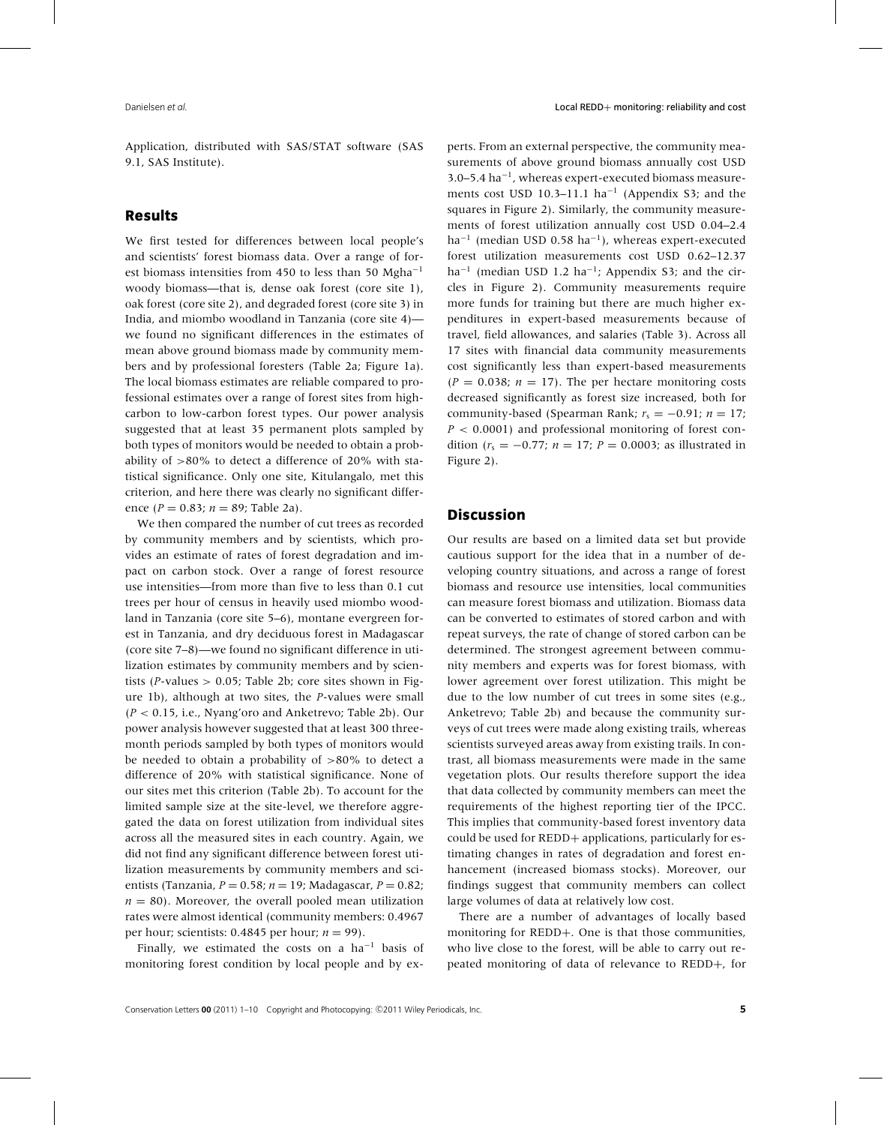Application, distributed with SAS/STAT software (SAS 9.1, SAS Institute).

## **Results**

We first tested for differences between local people's and scientists' forest biomass data. Over a range of forest biomass intensities from 450 to less than 50 Mgha−<sup>1</sup> woody biomass—that is, dense oak forest (core site 1), oak forest (core site 2), and degraded forest (core site 3) in India, and miombo woodland in Tanzania (core site 4) we found no significant differences in the estimates of mean above ground biomass made by community members and by professional foresters (Table 2a; Figure 1a). The local biomass estimates are reliable compared to professional estimates over a range of forest sites from highcarbon to low-carbon forest types. Our power analysis suggested that at least 35 permanent plots sampled by both types of monitors would be needed to obtain a probability of >80% to detect a difference of 20% with statistical significance. Only one site, Kitulangalo, met this criterion, and here there was clearly no significant difference (*P* = 0.83; *n* = 89; Table 2a).

We then compared the number of cut trees as recorded by community members and by scientists, which provides an estimate of rates of forest degradation and impact on carbon stock. Over a range of forest resource use intensities—from more than five to less than 0.1 cut trees per hour of census in heavily used miombo woodland in Tanzania (core site 5–6), montane evergreen forest in Tanzania, and dry deciduous forest in Madagascar (core site 7–8)—we found no significant difference in utilization estimates by community members and by scientists (*P*-values > 0.05; Table 2b; core sites shown in Figure 1b), although at two sites, the *P*-values were small (*P* < 0.15, i.e., Nyang'oro and Anketrevo; Table 2b). Our power analysis however suggested that at least 300 threemonth periods sampled by both types of monitors would be needed to obtain a probability of >80% to detect a difference of 20% with statistical significance. None of our sites met this criterion (Table 2b). To account for the limited sample size at the site-level, we therefore aggregated the data on forest utilization from individual sites across all the measured sites in each country. Again, we did not find any significant difference between forest utilization measurements by community members and scientists (Tanzania, *P* = 0.58; *n* = 19; Madagascar, *P* = 0.82;  $n = 80$ ). Moreover, the overall pooled mean utilization rates were almost identical (community members: 0.4967 per hour; scientists:  $0.4845$  per hour;  $n = 99$ ).

Finally, we estimated the costs on a  $ha^{-1}$  basis of monitoring forest condition by local people and by experts. From an external perspective, the community measurements of above ground biomass annually cost USD 3.0–5.4 ha−1, whereas expert-executed biomass measurements cost USD 10.3–11.1  $ha^{-1}$  (Appendix S3; and the squares in Figure 2). Similarly, the community measurements of forest utilization annually cost USD 0.04–2.4 ha<sup> $-1$ </sup> (median USD 0.58 ha<sup> $-1$ </sup>), whereas expert-executed forest utilization measurements cost USD 0.62–12.37 ha<sup> $-1$ </sup> (median USD 1.2 ha<sup> $-1$ </sup>; Appendix S3; and the circles in Figure 2). Community measurements require more funds for training but there are much higher expenditures in expert-based measurements because of travel, field allowances, and salaries (Table 3). Across all 17 sites with financial data community measurements cost significantly less than expert-based measurements  $(P = 0.038; n = 17)$ . The per hectare monitoring costs decreased significantly as forest size increased, both for community-based (Spearman Rank;  $r_s = -0.91$ ;  $n = 17$ ; *P* < 0.0001) and professional monitoring of forest condition ( $r_s = -0.77$ ;  $n = 17$ ;  $P = 0.0003$ ; as illustrated in Figure 2).

## **Discussion**

Our results are based on a limited data set but provide cautious support for the idea that in a number of developing country situations, and across a range of forest biomass and resource use intensities, local communities can measure forest biomass and utilization. Biomass data can be converted to estimates of stored carbon and with repeat surveys, the rate of change of stored carbon can be determined. The strongest agreement between community members and experts was for forest biomass, with lower agreement over forest utilization. This might be due to the low number of cut trees in some sites (e.g., Anketrevo; Table 2b) and because the community surveys of cut trees were made along existing trails, whereas scientists surveyed areas away from existing trails. In contrast, all biomass measurements were made in the same vegetation plots. Our results therefore support the idea that data collected by community members can meet the requirements of the highest reporting tier of the IPCC. This implies that community-based forest inventory data could be used for REDD+ applications, particularly for estimating changes in rates of degradation and forest enhancement (increased biomass stocks). Moreover, our findings suggest that community members can collect large volumes of data at relatively low cost.

There are a number of advantages of locally based monitoring for REDD+. One is that those communities, who live close to the forest, will be able to carry out repeated monitoring of data of relevance to REDD+, for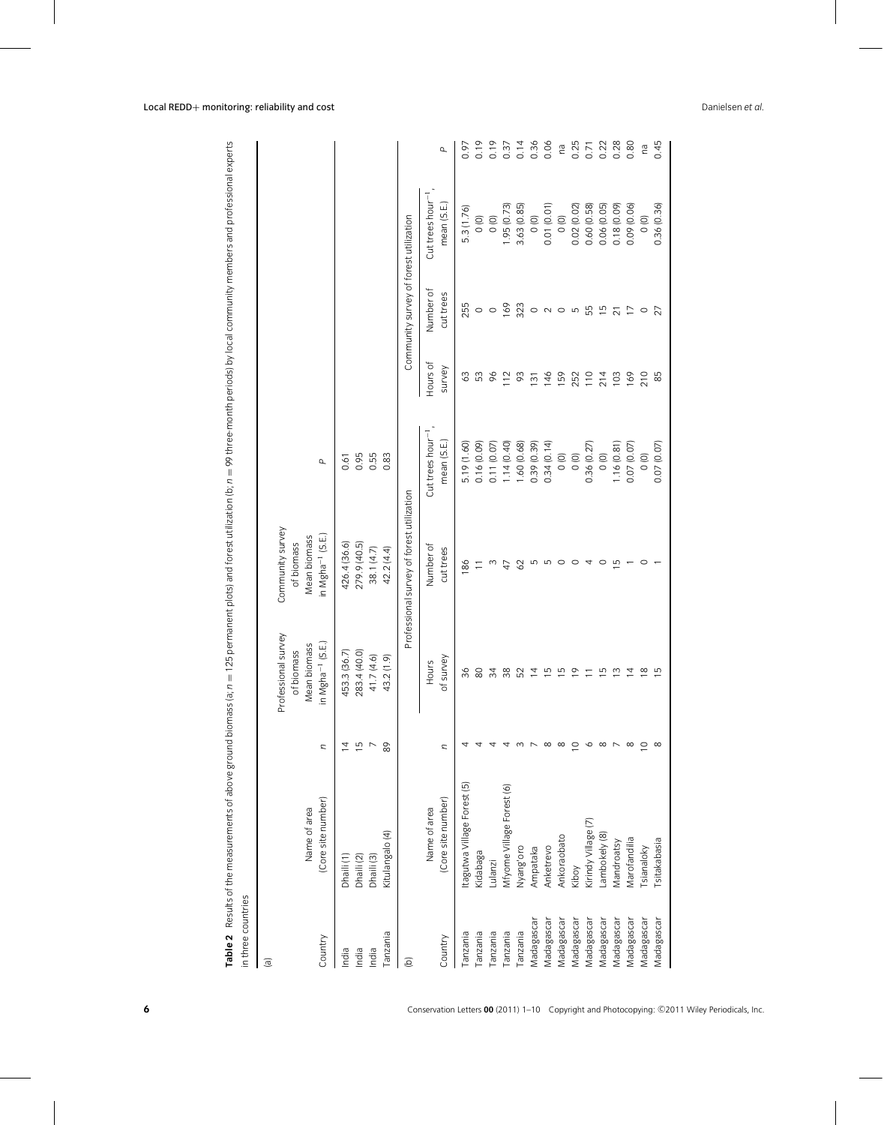| in three countries     | Table 2 Results of the measurements of above ground biomass (a; $n = 125$ permanent plots) and forest utilization (b; $n = 99$ three-month periods) by local community members and professional experts |                |                                   |                                           |                                |                  |                                        |                |          |
|------------------------|---------------------------------------------------------------------------------------------------------------------------------------------------------------------------------------------------------|----------------|-----------------------------------|-------------------------------------------|--------------------------------|------------------|----------------------------------------|----------------|----------|
| $\Xi$                  |                                                                                                                                                                                                         |                |                                   |                                           |                                |                  |                                        |                |          |
|                        |                                                                                                                                                                                                         |                | Professional survey<br>of biomass | Community survey<br>of biomass            |                                |                  |                                        |                |          |
|                        | Name of area                                                                                                                                                                                            |                | Mean biomass                      | Mean biomass                              |                                |                  |                                        |                |          |
| Country                | (Core site number)                                                                                                                                                                                      | U              | in Mgha <sup>-1</sup> (S.E.       | in Mgha <sup>-1</sup> (S.E.               | $\mathbf{r}$                   |                  |                                        |                |          |
| India                  | Dhaili (1)                                                                                                                                                                                              | ₫              | 453.3 (36.7)                      | 426.4 (36.6)                              | 0.61                           |                  |                                        |                |          |
| India                  | Dhaili (2)                                                                                                                                                                                              | $\overline{5}$ | 283.4 (40.0)                      | 279.9 (40.5)                              | 0.95                           |                  |                                        |                |          |
| India                  | Dhaili (3)                                                                                                                                                                                              | $\overline{ }$ | 41.7 (4.6)                        | 38.1 (4.7)                                | 0.55                           |                  |                                        |                |          |
| Tanzania               | Kitulangalo (4)                                                                                                                                                                                         | 89             | 43.2 (1.9)                        | 42.2 (4.4)                                | 0.83                           |                  |                                        |                |          |
| $\widehat{\mathbf{e}}$ |                                                                                                                                                                                                         |                |                                   | Professional survey of forest utilization |                                |                  | Community survey of forest utilization |                |          |
|                        | Name of area                                                                                                                                                                                            |                | <b>Hours</b>                      | Number of                                 | $Cut$ trees hour <sup>-1</sup> | Hours of         | Number of                              | Cut trees hour |          |
| Country                | (Core site number)                                                                                                                                                                                      | n              | of survey                         | cut trees                                 | mean (S.E.                     | survey           | cut trees                              | mean (S.E.     | $\Delta$ |
| Tanzania               | Itagutwa Village Forest (5)                                                                                                                                                                             |                | 36                                | 86                                        | 5.19 (1.60)                    | 3                | 255                                    | 5.3 (1.76)     | 0.97     |
| Tanzania               | Kidabaga                                                                                                                                                                                                |                | 80                                |                                           | 0.16 (0.09)                    | 53               |                                        | $\circ$        | 0.19     |
| Tanzania               | Lulanzi                                                                                                                                                                                                 | ₹              | 34                                | $\frac{1}{2}$ w $\frac{4}{7}$             | 0.11 (0.07                     | $6\sigma$        | $\circ$ $\circ$                        | $\circ$        | 0.19     |
| Tanzania               | Mfyome Village Forest (6)                                                                                                                                                                               | ₹              | 38                                |                                           | 1.14(0.40)                     | 12               | 169                                    | 1.95 (0.73)    | 0.37     |
| Tanzania               | Nyang'oro                                                                                                                                                                                               | $m$ $\sim$     | 52                                | 62                                        | 1.60 (0.68)                    | 93               | 323                                    | 3.63(0.85)     | 0.14     |
| Madagascar             | Ampataka                                                                                                                                                                                                |                | $\overline{4}$                    | <b>5556</b>                               | 0.39 (0.39)                    | $\overline{131}$ |                                        | 0(0)           | 0.36     |
| Madagascar             | Anketrevo                                                                                                                                                                                               | $\infty$       | $\overline{5}$                    |                                           | 0.34(0.14)                     | 146              | $\circ \circ \circ \circ$              | 0.01(0.01)     | 0.06     |
| Madagascar             | Ankoraobato                                                                                                                                                                                             | $\infty$       | $\overline{5}$                    |                                           | $\overline{0}$                 | 159              |                                        | $\circ$        | ra       |
| Madagascar             | Kiboy                                                                                                                                                                                                   | $\circ$        | $\overline{0}$                    |                                           | 0(0)                           | 252              |                                        | 0.02(0.02)     | 0.25     |
| Madagascar             | Kirindy Village (7)                                                                                                                                                                                     | $\circ$        | $\overline{a}$                    | $\overline{4}$                            | 0.36 (0.27)                    | 110              | 55<br>15                               | 0.60(0.58)     | 0.71     |
| Madagascar             | Lambokely (8)                                                                                                                                                                                           | $\infty$       | $\overline{5}$                    | $\circ$                                   | $\circ$                        | 214              |                                        | 0.06 (0.05)    | 0.22     |
| Madagascar             | Mandroatsy                                                                                                                                                                                              | $\overline{ }$ | $\tilde{5}$                       | 5                                         | 1.16 (0.81                     | 103              | $\overline{c}$                         | 0.18 (0.09)    | 0.28     |
| Madagascar             | Marofandilia                                                                                                                                                                                            | $\infty$       | $\overline{4}$                    |                                           | 0.07 (0.07                     | 169              | $\overline{C}$                         | 0.09 (0.06)    | 0.80     |
| Madagascar             | <b>Tsianaloky</b>                                                                                                                                                                                       | $\circ$        | $\frac{8}{10}$                    | $\circ$                                   | $\overline{0}$                 | 210              | $\circ$                                | 0(0)           | na       |
| Madagascar             | Tsitakabasia                                                                                                                                                                                            | $\infty$       | $\frac{1}{5}$                     |                                           | 0.07 (0.07)                    | 85               | 27                                     | 0.36(0.36)     | 0.45     |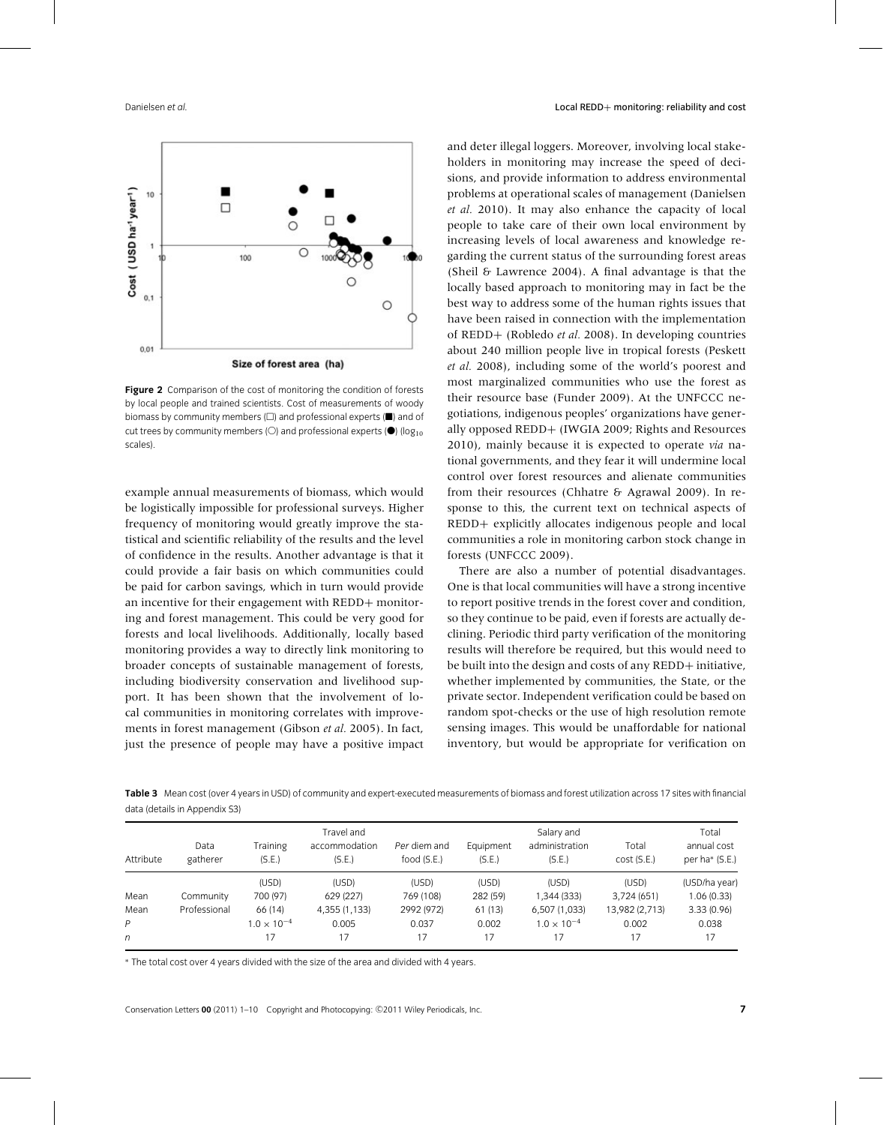

**Figure 2** Comparison of the cost of monitoring the condition of forests by local people and trained scientists. Cost of measurements of woody biomass by community members  $(\square)$  and professional experts  $(\blacksquare)$  and of cut trees by community members (O) and professional experts ( $\bullet$ ) (log<sub>10</sub>) scales).

example annual measurements of biomass, which would be logistically impossible for professional surveys. Higher frequency of monitoring would greatly improve the statistical and scientific reliability of the results and the level of confidence in the results. Another advantage is that it could provide a fair basis on which communities could be paid for carbon savings, which in turn would provide an incentive for their engagement with REDD+ monitoring and forest management. This could be very good for forests and local livelihoods. Additionally, locally based monitoring provides a way to directly link monitoring to broader concepts of sustainable management of forests, including biodiversity conservation and livelihood support. It has been shown that the involvement of local communities in monitoring correlates with improvements in forest management (Gibson *et al.* 2005). In fact, just the presence of people may have a positive impact

and deter illegal loggers. Moreover, involving local stakeholders in monitoring may increase the speed of decisions, and provide information to address environmental problems at operational scales of management (Danielsen *et al.* 2010). It may also enhance the capacity of local people to take care of their own local environment by increasing levels of local awareness and knowledge regarding the current status of the surrounding forest areas (Sheil & Lawrence 2004). A final advantage is that the locally based approach to monitoring may in fact be the best way to address some of the human rights issues that have been raised in connection with the implementation of REDD+ (Robledo *et al.* 2008). In developing countries about 240 million people live in tropical forests (Peskett *et al.* 2008), including some of the world's poorest and most marginalized communities who use the forest as their resource base (Funder 2009). At the UNFCCC negotiations, indigenous peoples' organizations have generally opposed REDD+ (IWGIA 2009; Rights and Resources 2010), mainly because it is expected to operate *via* national governments, and they fear it will undermine local control over forest resources and alienate communities from their resources (Chhatre & Agrawal 2009). In response to this, the current text on technical aspects of REDD+ explicitly allocates indigenous people and local communities a role in monitoring carbon stock change in forests (UNFCCC 2009).

There are also a number of potential disadvantages. One is that local communities will have a strong incentive to report positive trends in the forest cover and condition, so they continue to be paid, even if forests are actually declining. Periodic third party verification of the monitoring results will therefore be required, but this would need to be built into the design and costs of any REDD+ initiative, whether implemented by communities, the State, or the private sector. Independent verification could be based on random spot-checks or the use of high resolution remote sensing images. This would be unaffordable for national inventory, but would be appropriate for verification on

**Table 3** Mean cost (over 4 years in USD) of community and expert-executed measurements of biomass and forest utilization across 17 sites with financial data (details in Appendix S3)

| Attribute | Data<br>gatherer | Training<br>(S.E.)   | Travel and<br>accommodation<br>(S.E.) | Per diem and<br>food (S.E.) | Equipment<br>(S.E.) | Salary and<br>administration<br>(S.E.) | Total<br>cost(S.E.) | Total<br>annual cost<br>per ha* (S.E.) |
|-----------|------------------|----------------------|---------------------------------------|-----------------------------|---------------------|----------------------------------------|---------------------|----------------------------------------|
|           |                  | (USD)                | (USD)                                 | (USD)                       | (USD)               | (USD)                                  | (USD)               | (USD/ha year)                          |
| Mean      | Community        | 700 (97)             | 629 (227)                             | 769 (108)                   | 282 (59)            | ,344 (333)                             | 3,724 (651)         | 1.06(0.33)                             |
| Mean      | Professional     | 66 (14)              | 4,355 (1,133)                         | 2992 (972)                  | 61(13)              | 6,507 (1,033)                          | 13,982 (2,713)      | 3.33(0.96)                             |
| P         |                  | $1.0 \times 10^{-4}$ | 0.005                                 | 0.037                       | 0.002               | $1.0 \times 10^{-4}$                   | 0.002               | 0.038                                  |
| n         |                  |                      | 17                                    | 17                          | 17                  | 17                                     | 17                  | 17                                     |

<sup>∗</sup> The total cost over 4 years divided with the size of the area and divided with 4 years.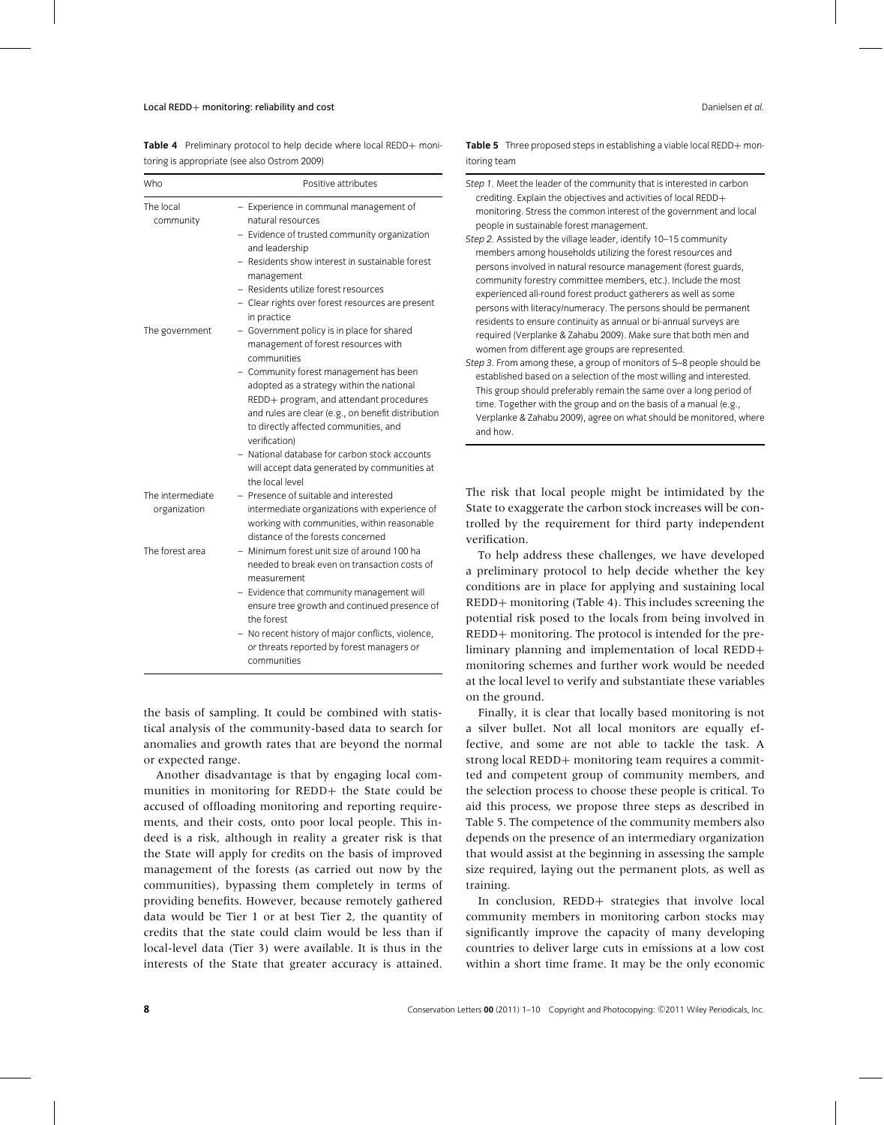Table 4 Preliminary protocol to help decide where local REDD+ monitoring is appropriate (see also Ostrom 2009)

| Who                              | Positive attributes                                                                                                                                                                                                                                                                                                                                                                                                                                                                   |
|----------------------------------|---------------------------------------------------------------------------------------------------------------------------------------------------------------------------------------------------------------------------------------------------------------------------------------------------------------------------------------------------------------------------------------------------------------------------------------------------------------------------------------|
| The local<br>community           | - Experience in communal management of<br>natural resources<br>- Evidence of trusted community organization<br>and leadership<br>- Residents show interest in sustainable forest<br>management<br>- Residents utilize forest resources<br>- Clear rights over forest resources are present                                                                                                                                                                                            |
| The government                   | in practice<br>- Government policy is in place for shared<br>management of forest resources with<br>communities<br>- Community forest management has been<br>adopted as a strategy within the national<br>REDD+ program, and attendant procedures<br>and rules are clear (e.g., on benefit distribution<br>to directly affected communities, and<br>verification)<br>- National database for carbon stock accounts<br>will accept data generated by communities at<br>the local level |
| The intermediate<br>organization | - Presence of suitable and interested<br>intermediate organizations with experience of<br>working with communities, within reasonable<br>distance of the forests concerned                                                                                                                                                                                                                                                                                                            |
| The forest area                  | - Minimum forest unit size of around 100 ha<br>needed to break even on transaction costs of<br>measurement<br>- Evidence that community management will<br>ensure tree growth and continued presence of<br>the forest<br>- No recent history of major conflicts, violence,<br>or threats reported by forest managers or<br>communities                                                                                                                                                |

the basis of sampling. It could be combined with statistical analysis of the community-based data to search for anomalies and growth rates that are beyond the normal or expected range.

Another disadvantage is that by engaging local communities in monitoring for REDD+ the State could be accused of offloading monitoring and reporting requirements, and their costs, onto poor local people. This indeed is a risk, although in reality a greater risk is that the State will apply for credits on the basis of improved management of the forests (as carried out now by the communities), bypassing them completely in terms of providing benefits. However, because remotely gathered data would be Tier 1 or at best Tier 2, the quantity of credits that the state could claim would be less than if local-level data (Tier 3) were available. It is thus in the interests of the State that greater accuracy is attained. Table 5 Three proposed steps in establishing a viable local REDD+ monitoring team

| Step 1. Meet the leader of the community that is interested in carbon |
|-----------------------------------------------------------------------|
| crediting. Explain the objectives and activities of local REDD+       |
| monitoring. Stress the common interest of the government and local    |
| people in sustainable forest management.                              |
| Step 2. Assisted by the village leader, identify 10-15 community      |
| members among households utilizing the forest resources and           |
| persons involved in natural resource management (forest guards,       |
| community forestry committee members, etc.). Include the most         |
| experienced all-round forest product gatherers as well as some        |
| persons with literacy/numeracy. The persons should be permanent       |
| residents to ensure continuity as annual or bi-annual surveys are     |
| required (Verplanke & Zahabu 2009). Make sure that both men and       |
| women from different age groups are represented.                      |
| Step 3. From among these, a group of monitors of 5–8 people should be |
| established based on a selection of the most willing and interested.  |
| This group should preferably remain the same over a long period of    |
| time. Together with the group and on the basis of a manual (e.g.,     |
| Verplanke & Zahabu 2009), agree on what should be monitored, where    |
| and how.                                                              |

The risk that local people might be intimidated by the State to exaggerate the carbon stock increases will be controlled by the requirement for third party independent verification.

To help address these challenges, we have developed a preliminary protocol to help decide whether the key conditions are in place for applying and sustaining local REDD+ monitoring (Table 4). This includes screening the potential risk posed to the locals from being involved in REDD+ monitoring. The protocol is intended for the preliminary planning and implementation of local REDD+ monitoring schemes and further work would be needed at the local level to verify and substantiate these variables on the ground.

Finally, it is clear that locally based monitoring is not a silver bullet. Not all local monitors are equally effective, and some are not able to tackle the task. A strong local REDD+ monitoring team requires a committed and competent group of community members, and the selection process to choose these people is critical. To aid this process, we propose three steps as described in Table 5. The competence of the community members also depends on the presence of an intermediary organization that would assist at the beginning in assessing the sample size required, laying out the permanent plots, as well as training.

In conclusion, REDD+ strategies that involve local community members in monitoring carbon stocks may significantly improve the capacity of many developing countries to deliver large cuts in emissions at a low cost within a short time frame. It may be the only economic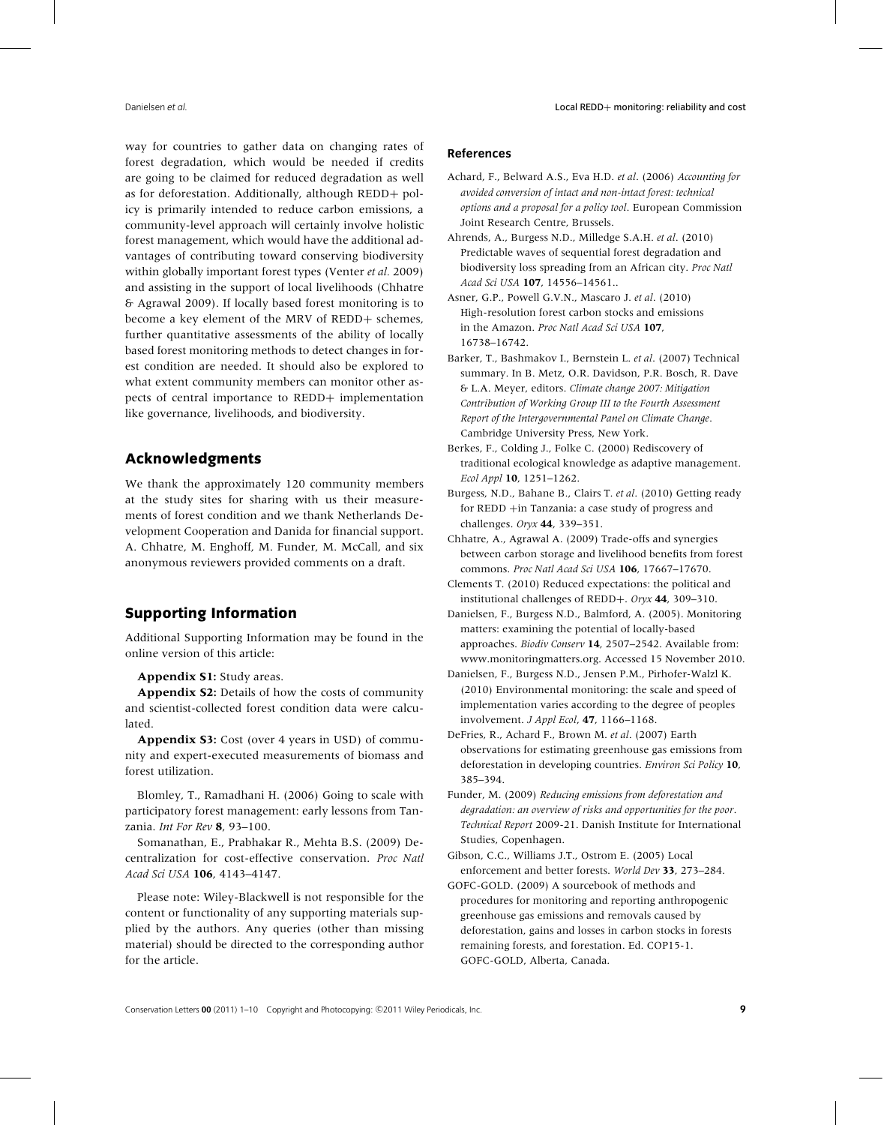way for countries to gather data on changing rates of forest degradation, which would be needed if credits are going to be claimed for reduced degradation as well as for deforestation. Additionally, although REDD+ policy is primarily intended to reduce carbon emissions, a community-level approach will certainly involve holistic forest management, which would have the additional advantages of contributing toward conserving biodiversity within globally important forest types (Venter *et al.* 2009) and assisting in the support of local livelihoods (Chhatre & Agrawal 2009). If locally based forest monitoring is to become a key element of the MRV of REDD+ schemes, further quantitative assessments of the ability of locally based forest monitoring methods to detect changes in forest condition are needed. It should also be explored to what extent community members can monitor other aspects of central importance to REDD+ implementation like governance, livelihoods, and biodiversity.

# **Acknowledgments**

We thank the approximately 120 community members at the study sites for sharing with us their measurements of forest condition and we thank Netherlands Development Cooperation and Danida for financial support. A. Chhatre, M. Enghoff, M. Funder, M. McCall, and six anonymous reviewers provided comments on a draft.

# **Supporting Information**

Additional Supporting Information may be found in the online version of this article:

**Appendix S1:** Study areas.

**Appendix S2:** Details of how the costs of community and scientist-collected forest condition data were calculated.

**Appendix S3:** Cost (over 4 years in USD) of community and expert-executed measurements of biomass and forest utilization.

Blomley, T., Ramadhani H. (2006) Going to scale with participatory forest management: early lessons from Tanzania. *Int For Rev* **8**, 93–100.

Somanathan, E., Prabhakar R., Mehta B.S. (2009) Decentralization for cost-effective conservation. *Proc Natl Acad Sci USA* **106**, 4143–4147.

Please note: Wiley-Blackwell is not responsible for the content or functionality of any supporting materials supplied by the authors. Any queries (other than missing material) should be directed to the corresponding author for the article.

## **References**

- Achard, F., Belward A.S., Eva H.D. *et al*. (2006) *Accounting for avoided conversion of intact and non-intact forest: technical options and a proposal for a policy tool*. European Commission Joint Research Centre, Brussels.
- Ahrends, A., Burgess N.D., Milledge S.A.H. *et al*. (2010) Predictable waves of sequential forest degradation and biodiversity loss spreading from an African city. *Proc Natl Acad Sci USA* **107**, 14556–14561..
- Asner, G.P., Powell G.V.N., Mascaro J. *et al*. (2010) High-resolution forest carbon stocks and emissions in the Amazon. *Proc Natl Acad Sci USA* **107**, 16738–16742.
- Barker, T., Bashmakov I., Bernstein L. *et al*. (2007) Technical summary. In B. Metz, O.R. Davidson, P.R. Bosch, R. Dave & L.A. Meyer, editors. *Climate change 2007: Mitigation Contribution of Working Group III to the Fourth Assessment Report of the Intergovernmental Panel on Climate Change*. Cambridge University Press, New York.
- Berkes, F., Colding J., Folke C. (2000) Rediscovery of traditional ecological knowledge as adaptive management. *Ecol Appl* **10**, 1251–1262.
- Burgess, N.D., Bahane B., Clairs T. *et al*. (2010) Getting ready for REDD +in Tanzania: a case study of progress and challenges. *Oryx* **44**, 339–351.
- Chhatre, A., Agrawal A. (2009) Trade-offs and synergies between carbon storage and livelihood benefits from forest commons. *Proc Natl Acad Sci USA* **106**, 17667–17670.
- Clements T. (2010) Reduced expectations: the political and institutional challenges of REDD+. *Oryx* **44**, 309–310.
- Danielsen, F., Burgess N.D., Balmford, A. (2005). Monitoring matters: examining the potential of locally-based approaches. *Biodiv Conserv* **14**, 2507–2542. Available from: www.monitoringmatters.org. Accessed 15 November 2010.
- Danielsen, F., Burgess N.D., Jensen P.M., Pirhofer-Walzl K. (2010) Environmental monitoring: the scale and speed of implementation varies according to the degree of peoples involvement. *J Appl Ecol*, **47**, 1166–1168.
- DeFries, R., Achard F., Brown M. *et al*. (2007) Earth observations for estimating greenhouse gas emissions from deforestation in developing countries. *Environ Sci Policy* **10**, 385–394.
- Funder, M. (2009) *Reducing emissions from deforestation and degradation: an overview of risks and opportunities for the poor*. *Technical Report* 2009-21. Danish Institute for International Studies, Copenhagen.
- Gibson, C.C., Williams J.T., Ostrom E. (2005) Local enforcement and better forests. *World Dev* **33**, 273–284.
- GOFC-GOLD. (2009) A sourcebook of methods and procedures for monitoring and reporting anthropogenic greenhouse gas emissions and removals caused by deforestation, gains and losses in carbon stocks in forests remaining forests, and forestation. Ed. COP15-1. GOFC-GOLD, Alberta, Canada.